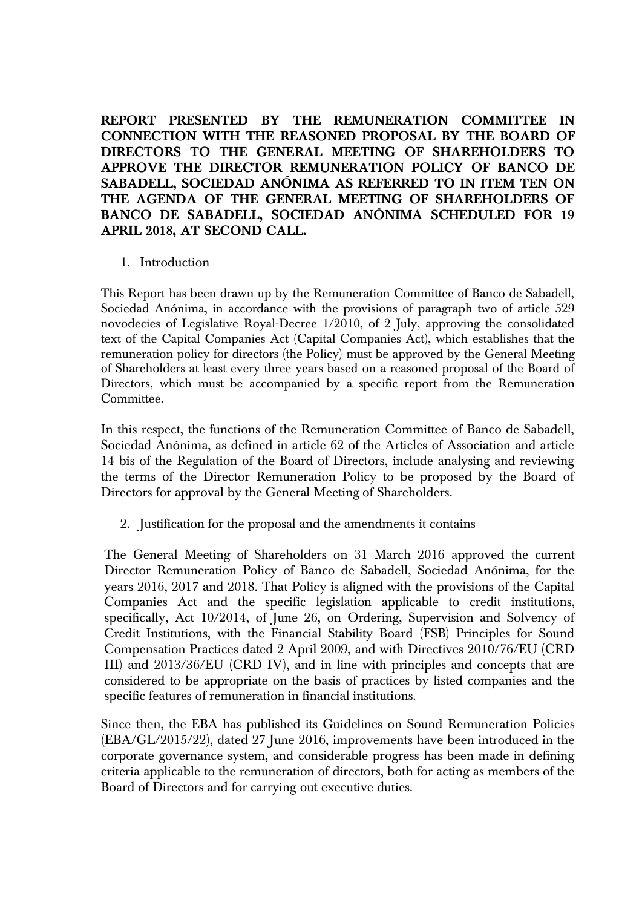**REPORT PRESENTED BY THE REMUNERATION COMMITTEE IN CONNECTION WITH THE REASONED PROPOSAL BY THE BOARD OF DIRECTORS TO THE GENERAL MEETING OF SHAREHOLDERS TO APPROVE THE DIRECTOR REMUNERATION POLICY OF BANCO DE SABADELL, SOCIEDAD ANÓNIMA AS REFERRED TO IN ITEM TEN ON THE AGENDA OF THE GENERAL MEETING OF SHAREHOLDERS OF BANCO DE SABADELL, SOCIEDAD ANÓNIMA SCHEDULED FOR 19 APRIL 2018, AT SECOND CALL.** 

## 1. Introduction

This Report has been drawn up by the Remuneration Committee of Banco de Sabadell, Sociedad Anónima, in accordance with the provisions of paragraph two of article 529 novodecies of Legislative Royal-Decree 1/2010, of 2 July, approving the consolidated text of the Capital Companies Act (Capital Companies Act), which establishes that the remuneration policy for directors (the Policy) must be approved by the General Meeting of Shareholders at least every three years based on a reasoned proposal of the Board of Directors, which must be accompanied by a specific report from the Remuneration Committee.

In this respect, the functions of the Remuneration Committee of Banco de Sabadell, Sociedad Anónima, as defined in article 62 of the Articles of Association and article 14 bis of the Regulation of the Board of Directors, include analysing and reviewing the terms of the Director Remuneration Policy to be proposed by the Board of Directors for approval by the General Meeting of Shareholders.

2. Justification for the proposal and the amendments it contains

The General Meeting of Shareholders on 31 March 2016 approved the current Director Remuneration Policy of Banco de Sabadell, Sociedad Anónima, for the years 2016, 2017 and 2018. That Policy is aligned with the provisions of the Capital Companies Act and the specific legislation applicable to credit institutions, specifically, Act 10/2014, of June 26, on Ordering, Supervision and Solvency of Credit Institutions, with the Financial Stability Board (FSB) Principles for Sound Compensation Practices dated 2 April 2009, and with Directives 2010/76/EU (CRD III) and 2013/36/EU (CRD IV), and in line with principles and concepts that are considered to be appropriate on the basis of practices by listed companies and the specific features of remuneration in financial institutions.

Since then, the EBA has published its Guidelines on Sound Remuneration Policies (EBA/GL/2015/22), dated 27 June 2016, improvements have been introduced in the corporate governance system, and considerable progress has been made in defining criteria applicable to the remuneration of directors, both for acting as members of the Board of Directors and for carrying out executive duties.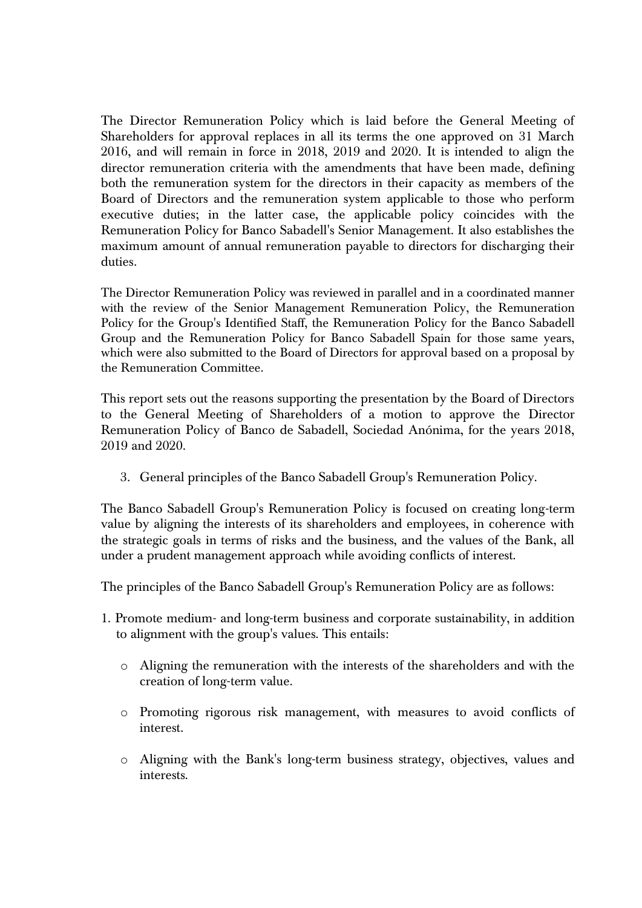The Director Remuneration Policy which is laid before the General Meeting of Shareholders for approval replaces in all its terms the one approved on 31 March 2016, and will remain in force in 2018, 2019 and 2020. It is intended to align the director remuneration criteria with the amendments that have been made, defining both the remuneration system for the directors in their capacity as members of the Board of Directors and the remuneration system applicable to those who perform executive duties; in the latter case, the applicable policy coincides with the Remuneration Policy for Banco Sabadell's Senior Management. It also establishes the maximum amount of annual remuneration payable to directors for discharging their duties.

The Director Remuneration Policy was reviewed in parallel and in a coordinated manner with the review of the Senior Management Remuneration Policy, the Remuneration Policy for the Group's Identified Staff, the Remuneration Policy for the Banco Sabadell Group and the Remuneration Policy for Banco Sabadell Spain for those same years, which were also submitted to the Board of Directors for approval based on a proposal by the Remuneration Committee.

This report sets out the reasons supporting the presentation by the Board of Directors to the General Meeting of Shareholders of a motion to approve the Director Remuneration Policy of Banco de Sabadell, Sociedad Anónima, for the years 2018, 2019 and 2020.

3. General principles of the Banco Sabadell Group's Remuneration Policy.

The Banco Sabadell Group's Remuneration Policy is focused on creating long-term value by aligning the interests of its shareholders and employees, in coherence with the strategic goals in terms of risks and the business, and the values of the Bank, all under a prudent management approach while avoiding conflicts of interest.

The principles of the Banco Sabadell Group's Remuneration Policy are as follows:

- 1. Promote medium- and long-term business and corporate sustainability, in addition to alignment with the group's values. This entails:
	- o Aligning the remuneration with the interests of the shareholders and with the creation of long-term value.
	- o Promoting rigorous risk management, with measures to avoid conflicts of interest.
	- o Aligning with the Bank's long-term business strategy, objectives, values and interests.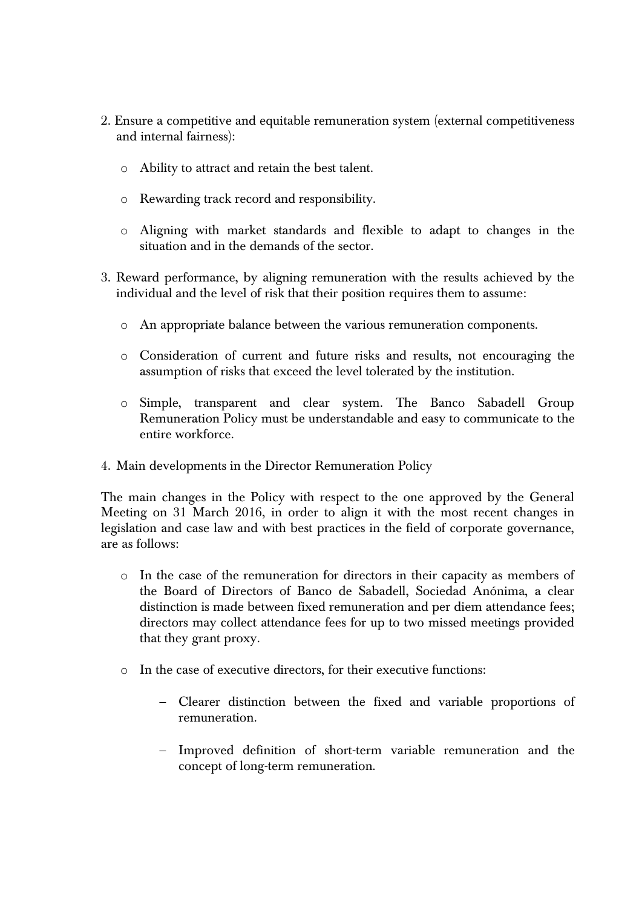- 2. Ensure a competitive and equitable remuneration system (external competitiveness and internal fairness):
	- o Ability to attract and retain the best talent.
	- o Rewarding track record and responsibility.
	- o Aligning with market standards and flexible to adapt to changes in the situation and in the demands of the sector.
- 3. Reward performance, by aligning remuneration with the results achieved by the individual and the level of risk that their position requires them to assume:
	- o An appropriate balance between the various remuneration components.
	- o Consideration of current and future risks and results, not encouraging the assumption of risks that exceed the level tolerated by the institution.
	- o Simple, transparent and clear system. The Banco Sabadell Group Remuneration Policy must be understandable and easy to communicate to the entire workforce.
- 4. Main developments in the Director Remuneration Policy

The main changes in the Policy with respect to the one approved by the General Meeting on 31 March 2016, in order to align it with the most recent changes in legislation and case law and with best practices in the field of corporate governance, are as follows:

- o In the case of the remuneration for directors in their capacity as members of the Board of Directors of Banco de Sabadell, Sociedad Anónima, a clear distinction is made between fixed remuneration and per diem attendance fees; directors may collect attendance fees for up to two missed meetings provided that they grant proxy.
- o In the case of executive directors, for their executive functions:
	- Clearer distinction between the fixed and variable proportions of remuneration.
	- Improved definition of short-term variable remuneration and the concept of long-term remuneration.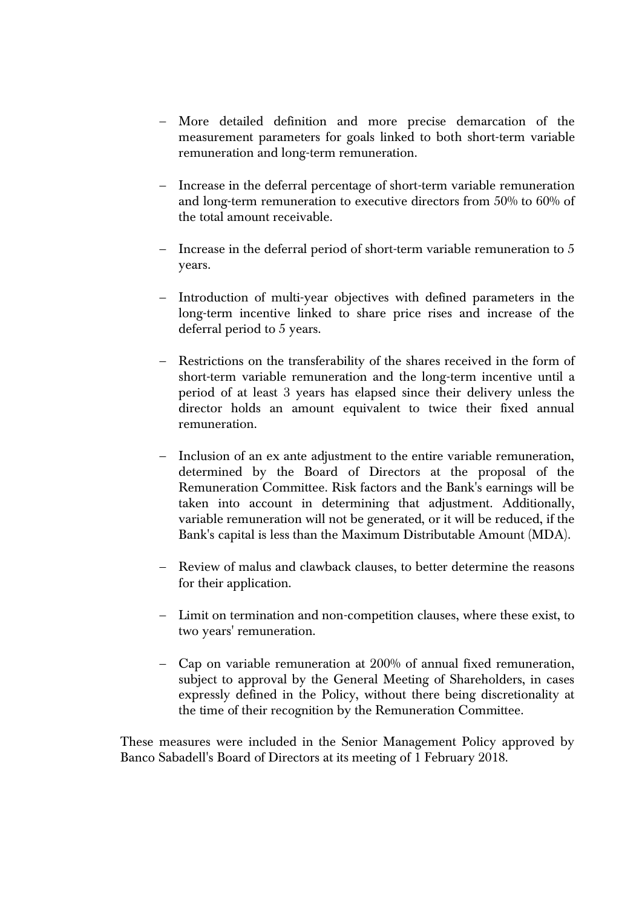- More detailed definition and more precise demarcation of the measurement parameters for goals linked to both short-term variable remuneration and long-term remuneration.
- Increase in the deferral percentage of short-term variable remuneration and long-term remuneration to executive directors from 50% to 60% of the total amount receivable.
- Increase in the deferral period of short-term variable remuneration to 5 years.
- Introduction of multi-year objectives with defined parameters in the long-term incentive linked to share price rises and increase of the deferral period to 5 years.
- Restrictions on the transferability of the shares received in the form of short-term variable remuneration and the long-term incentive until a period of at least 3 years has elapsed since their delivery unless the director holds an amount equivalent to twice their fixed annual remuneration.
- Inclusion of an ex ante adjustment to the entire variable remuneration, determined by the Board of Directors at the proposal of the Remuneration Committee. Risk factors and the Bank's earnings will be taken into account in determining that adjustment. Additionally, variable remuneration will not be generated, or it will be reduced, if the Bank's capital is less than the Maximum Distributable Amount (MDA).
- Review of malus and clawback clauses, to better determine the reasons for their application.
- Limit on termination and non-competition clauses, where these exist, to two years' remuneration.
- Cap on variable remuneration at 200% of annual fixed remuneration, subject to approval by the General Meeting of Shareholders, in cases expressly defined in the Policy, without there being discretionality at the time of their recognition by the Remuneration Committee.

These measures were included in the Senior Management Policy approved by Banco Sabadell's Board of Directors at its meeting of 1 February 2018.